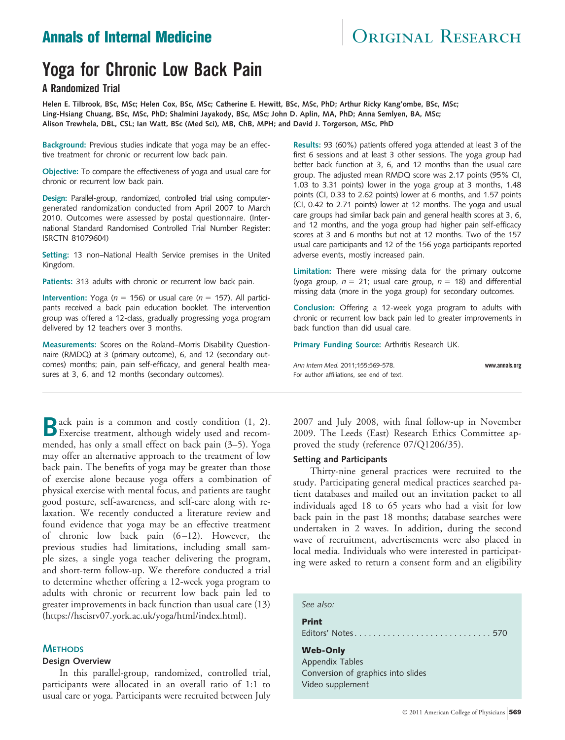## **Annals of Internal Medicine CENTER SEARCH**

# **Yoga for Chronic Low Back Pain**

**A Randomized Trial**

**Helen E. Tilbrook, BSc, MSc; Helen Cox, BSc, MSc; Catherine E. Hewitt, BSc, MSc, PhD; Arthur Ricky Kang'ombe, BSc, MSc; Ling-Hsiang Chuang, BSc, MSc, PhD; Shalmini Jayakody, BSc, MSc; John D. Aplin, MA, PhD; Anna Semlyen, BA, MSc; Alison Trewhela, DBL, CSL; Ian Watt, BSc (Med Sci), MB, ChB, MPH; and David J. Torgerson, MSc, PhD**

**Background:** Previous studies indicate that yoga may be an effective treatment for chronic or recurrent low back pain.

**Objective:** To compare the effectiveness of yoga and usual care for chronic or recurrent low back pain.

**Design:** Parallel-group, randomized, controlled trial using computergenerated randomization conducted from April 2007 to March 2010. Outcomes were assessed by postal questionnaire. (International Standard Randomised Controlled Trial Number Register: ISRCTN 81079604)

**Setting:** 13 non–National Health Service premises in the United Kingdom.

**Patients:** 313 adults with chronic or recurrent low back pain.

**Intervention:** Yoga ( $n = 156$ ) or usual care ( $n = 157$ ). All participants received a back pain education booklet. The intervention group was offered a 12-class, gradually progressing yoga program delivered by 12 teachers over 3 months.

**Measurements:** Scores on the Roland–Morris Disability Questionnaire (RMDQ) at 3 (primary outcome), 6, and 12 (secondary outcomes) months; pain, pain self-efficacy, and general health measures at 3, 6, and 12 months (secondary outcomes).

**B**ack pain is a common and costly condition (1, 2). mended, has only a small effect on back pain (3–5). Yoga may offer an alternative approach to the treatment of low back pain. The benefits of yoga may be greater than those of exercise alone because yoga offers a combination of physical exercise with mental focus, and patients are taught good posture, self-awareness, and self-care along with relaxation. We recently conducted a literature review and found evidence that yoga may be an effective treatment of chronic low back pain (6–12). However, the previous studies had limitations, including small sample sizes, a single yoga teacher delivering the program, and short-term follow-up. We therefore conducted a trial to determine whether offering a 12-week yoga program to adults with chronic or recurrent low back pain led to greater improvements in back function than usual care (13) (https://hscisrv07.york.ac.uk/yoga/html/index.html).

#### **METHODS**

#### **Design Overview**

In this parallel-group, randomized, controlled trial, participants were allocated in an overall ratio of 1:1 to usual care or yoga. Participants were recruited between July

**Results:** 93 (60%) patients offered yoga attended at least 3 of the first 6 sessions and at least 3 other sessions. The yoga group had better back function at 3, 6, and 12 months than the usual care group. The adjusted mean RMDQ score was 2.17 points (95% CI, 1.03 to 3.31 points) lower in the yoga group at 3 months, 1.48 points (CI, 0.33 to 2.62 points) lower at 6 months, and 1.57 points (CI, 0.42 to 2.71 points) lower at 12 months. The yoga and usual care groups had similar back pain and general health scores at 3, 6, and 12 months, and the yoga group had higher pain self-efficacy scores at 3 and 6 months but not at 12 months. Two of the 157 usual care participants and 12 of the 156 yoga participants reported adverse events, mostly increased pain.

**Limitation:** There were missing data for the primary outcome (yoga group,  $n = 21$ ; usual care group,  $n = 18$ ) and differential missing data (more in the yoga group) for secondary outcomes.

**Conclusion:** Offering a 12-week yoga program to adults with chronic or recurrent low back pain led to greater improvements in back function than did usual care.

**Primary Funding Source:** Arthritis Research UK.

*Ann Intern Med.* 2011;155:569-578. **www.annals.org** For author affiliations, see end of text.

2007 and July 2008, with final follow-up in November 2009. The Leeds (East) Research Ethics Committee approved the study (reference 07/Q1206/35).

#### **Setting and Participants**

Thirty-nine general practices were recruited to the study. Participating general medical practices searched patient databases and mailed out an invitation packet to all individuals aged 18 to 65 years who had a visit for low back pain in the past 18 months; database searches were undertaken in 2 waves. In addition, during the second wave of recruitment, advertisements were also placed in local media. Individuals who were interested in participating were asked to return a consent form and an eligibility

*See also:*

#### **Print**

Editors' Notes. . . . . . . . . . . . . . . . . . . . . . . . . . . . . 570

#### **Web-Only**

Appendix Tables Conversion of graphics into slides Video supplement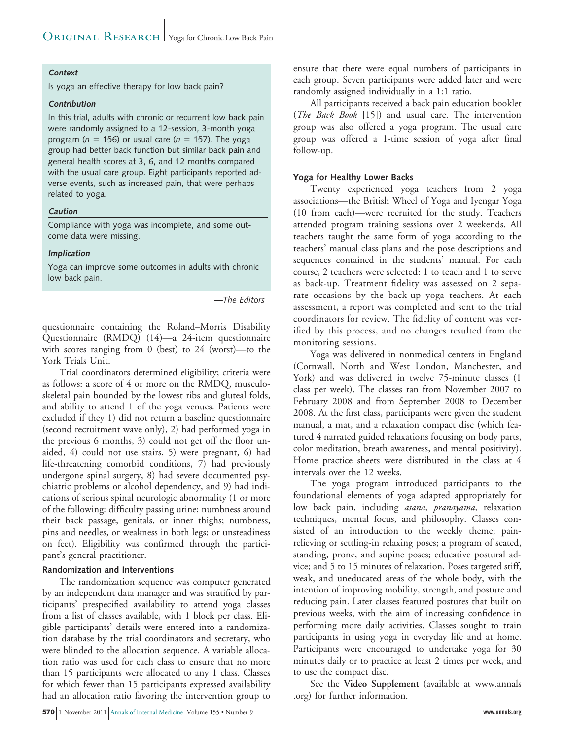### ORIGINAL RESEARCH | Yoga for Chronic Low Back Pain

#### **Context**

Is yoga an effective therapy for low back pain?

#### **Contribution**

In this trial, adults with chronic or recurrent low back pain were randomly assigned to a 12-session, 3-month yoga program ( $n = 156$ ) or usual care ( $n = 157$ ). The yoga group had better back function but similar back pain and general health scores at 3, 6, and 12 months compared with the usual care group. Eight participants reported adverse events, such as increased pain, that were perhaps related to yoga.

#### **Caution**

Compliance with yoga was incomplete, and some outcome data were missing.

#### **Implication**

Yoga can improve some outcomes in adults with chronic low back pain.

*—The Editors*

questionnaire containing the Roland–Morris Disability Questionnaire (RMDQ) (14)—a 24-item questionnaire with scores ranging from 0 (best) to 24 (worst)—to the York Trials Unit.

Trial coordinators determined eligibility; criteria were as follows: a score of 4 or more on the RMDQ, musculoskeletal pain bounded by the lowest ribs and gluteal folds, and ability to attend 1 of the yoga venues. Patients were excluded if they 1) did not return a baseline questionnaire (second recruitment wave only), 2) had performed yoga in the previous 6 months, 3) could not get off the floor unaided, 4) could not use stairs, 5) were pregnant, 6) had life-threatening comorbid conditions, 7) had previously undergone spinal surgery, 8) had severe documented psychiatric problems or alcohol dependency, and 9) had indications of serious spinal neurologic abnormality (1 or more of the following: difficulty passing urine; numbness around their back passage, genitals, or inner thighs; numbness, pins and needles, or weakness in both legs; or unsteadiness on feet). Eligibility was confirmed through the participant's general practitioner.

#### **Randomization and Interventions**

The randomization sequence was computer generated by an independent data manager and was stratified by participants' prespecified availability to attend yoga classes from a list of classes available, with 1 block per class. Eligible participants' details were entered into a randomization database by the trial coordinators and secretary, who were blinded to the allocation sequence. A variable allocation ratio was used for each class to ensure that no more than 15 participants were allocated to any 1 class. Classes for which fewer than 15 participants expressed availability had an allocation ratio favoring the intervention group to ensure that there were equal numbers of participants in each group. Seven participants were added later and were randomly assigned individually in a 1:1 ratio.

All participants received a back pain education booklet (*The Back Book* [15]) and usual care. The intervention group was also offered a yoga program. The usual care group was offered a 1-time session of yoga after final follow-up.

#### **Yoga for Healthy Lower Backs**

Twenty experienced yoga teachers from 2 yoga associations—the British Wheel of Yoga and Iyengar Yoga (10 from each)—were recruited for the study. Teachers attended program training sessions over 2 weekends. All teachers taught the same form of yoga according to the teachers' manual class plans and the pose descriptions and sequences contained in the students' manual. For each course, 2 teachers were selected: 1 to teach and 1 to serve as back-up. Treatment fidelity was assessed on 2 separate occasions by the back-up yoga teachers. At each assessment, a report was completed and sent to the trial coordinators for review. The fidelity of content was verified by this process, and no changes resulted from the monitoring sessions.

Yoga was delivered in nonmedical centers in England (Cornwall, North and West London, Manchester, and York) and was delivered in twelve 75-minute classes (1 class per week). The classes ran from November 2007 to February 2008 and from September 2008 to December 2008. At the first class, participants were given the student manual, a mat, and a relaxation compact disc (which featured 4 narrated guided relaxations focusing on body parts, color meditation, breath awareness, and mental positivity). Home practice sheets were distributed in the class at 4 intervals over the 12 weeks.

The yoga program introduced participants to the foundational elements of yoga adapted appropriately for low back pain, including *asana, pranayama,* relaxation techniques, mental focus, and philosophy. Classes consisted of an introduction to the weekly theme; painrelieving or settling-in relaxing poses; a program of seated, standing, prone, and supine poses; educative postural advice; and 5 to 15 minutes of relaxation. Poses targeted stiff, weak, and uneducated areas of the whole body, with the intention of improving mobility, strength, and posture and reducing pain. Later classes featured postures that built on previous weeks, with the aim of increasing confidence in performing more daily activities. Classes sought to train participants in using yoga in everyday life and at home. Participants were encouraged to undertake yoga for 30 minutes daily or to practice at least 2 times per week, and to use the compact disc.

See the **Video Supplement** (available at www.annals .org) for further information.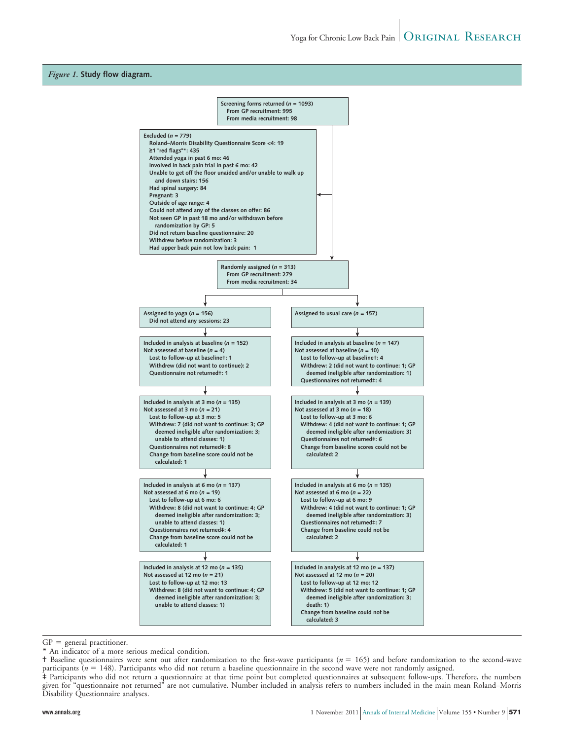#### *Figure 1.* **Study flow diagram.**



 $GP =$  general practitioner.

An indicator of a more serious medical condition.

<sup>†</sup> Baseline questionnaires were sent out after randomization to the first-wave participants (*n* 165) and before randomization to the second-wave participants ( $n = 148$ ). Participants who did not return a baseline questionnaire in the second wave were not randomly assigned.

<sup>‡</sup> Participants who did not return a questionnaire at that time point but completed questionnaires at subsequent follow-ups. Therefore, the numbers given for "questionnaire not returned" are not cumulative. Number included in analysis refers to numbers included in the main mean Roland–Morris Disability Questionnaire analyses.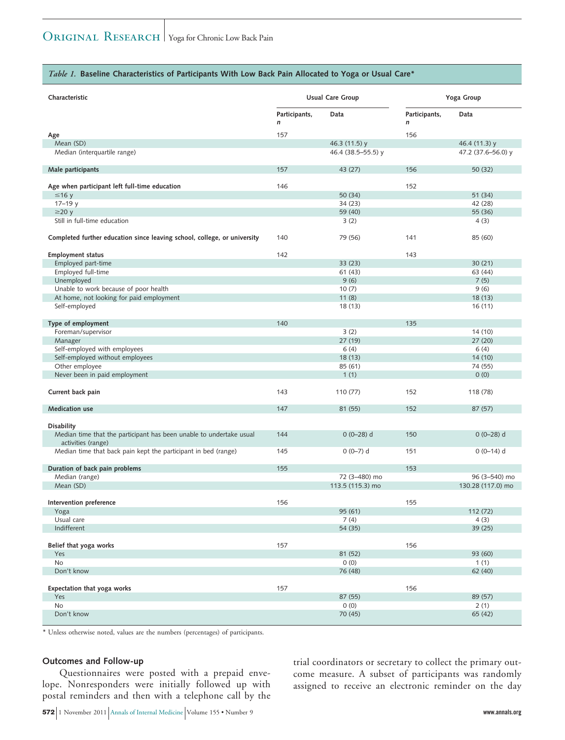#### *Table 1.* **Baseline Characteristics of Participants With Low Back Pain Allocated to Yoga or Usual Care\***

| Characteristic                                                           |                    | Usual Care Group   |                    | Yoga Group         |
|--------------------------------------------------------------------------|--------------------|--------------------|--------------------|--------------------|
|                                                                          | Participants,<br>n | Data               | Participants,<br>n | Data               |
| Age                                                                      | 157                |                    | 156                |                    |
| Mean (SD)                                                                |                    | 46.3 (11.5) y      |                    | 46.4 (11.3) y      |
| Median (interquartile range)                                             |                    | 46.4 (38.5-55.5) y |                    | 47.2 (37.6-56.0) y |
|                                                                          |                    |                    |                    |                    |
| Male participants                                                        | 157                | 43 (27)            | 156                | 50 (32)            |
|                                                                          |                    |                    |                    |                    |
| Age when participant left full-time education<br>≤16y                    | 146                | 50(34)             | 152                | 51 (34)            |
| $17 - 19y$                                                               |                    | 34 (23)            |                    | 42 (28)            |
| $\geq$ 20 y                                                              |                    | 59 (40)            |                    | 55 (36)            |
| Still in full-time education                                             |                    | 3(2)               |                    | 4(3)               |
|                                                                          |                    |                    |                    |                    |
| Completed further education since leaving school, college, or university | 140                | 79 (56)            | 141                | 85 (60)            |
| <b>Employment status</b>                                                 | 142                |                    | 143                |                    |
| Employed part-time                                                       |                    | 33(23)             |                    | 30(21)             |
| Employed full-time                                                       |                    | 61(43)             |                    | 63 (44)            |
| Unemployed                                                               |                    | 9(6)               |                    | 7(5)               |
| Unable to work because of poor health                                    |                    | 10(7)              |                    | 9(6)               |
| At home, not looking for paid employment                                 |                    | 11(8)              |                    | 18 (13)            |
| Self-employed                                                            |                    | 18 (13)            |                    | 16(11)             |
|                                                                          |                    |                    |                    |                    |
| Type of employment                                                       | 140                |                    | 135                |                    |
| Foreman/supervisor                                                       |                    | 3(2)               |                    | 14 (10)            |
| Manager                                                                  |                    | 27(19)             |                    | 27(20)             |
| Self-employed with employees                                             |                    | 6(4)<br>18(13)     |                    | 6(4)               |
| Self-employed without employees                                          |                    | 85 (61)            |                    | 14 (10)<br>74 (55) |
| Other employee<br>Never been in paid employment                          |                    | 1(1)               |                    | 0(0)               |
|                                                                          |                    |                    |                    |                    |
| Current back pain                                                        | 143                | 110(77)            | 152                | 118 (78)           |
| <b>Medication use</b>                                                    | 147                | 81 (55)            | 152                | 87 (57)            |
|                                                                          |                    |                    |                    |                    |
| Disability                                                               |                    |                    |                    |                    |
| Median time that the participant has been unable to undertake usual      | 144                | $0(0-28)$ d        | 150                | $0(0-28)$ d        |
| activities (range)                                                       |                    |                    |                    |                    |
| Median time that back pain kept the participant in bed (range)           | 145                | $0(0-7)$ d         | 151                | $0(0-14)$ d        |
| Duration of back pain problems                                           | 155                |                    | 153                |                    |
| Median (range)                                                           |                    | 72 (3-480) mo      |                    | 96 (3-540) mo      |
| Mean (SD)                                                                |                    | 113.5 (115.3) mo   |                    | 130.28 (117.0) mo  |
|                                                                          |                    |                    |                    |                    |
| Intervention preference                                                  | 156                |                    | 155                |                    |
| Yoga                                                                     |                    | 95 (61)            |                    | 112 (72)           |
| Usual care                                                               |                    | 7(4)               |                    | 4(3)               |
| Indifferent                                                              |                    | 54 (35)            |                    | 39 (25)            |
|                                                                          |                    |                    |                    |                    |
| Belief that yoga works<br>Yes                                            | 157                | 81 (52)            | 156                | 93 (60)            |
| No                                                                       |                    | 0(0)               |                    | 1(1)               |
| Don't know                                                               |                    | 76 (48)            |                    | 62 (40)            |
|                                                                          |                    |                    |                    |                    |
| Expectation that yoga works                                              | 157                |                    | 156                |                    |
| Yes                                                                      |                    | 87 (55)            |                    | 89 (57)            |
| No                                                                       |                    | 0(0)               |                    | 2(1)               |
| Don't know                                                               |                    | 70 (45)            |                    | 65 (42)            |
|                                                                          |                    |                    |                    |                    |

\* Unless otherwise noted, values are the numbers (percentages) of participants.

#### **Outcomes and Follow-up**

Questionnaires were posted with a prepaid envelope. Nonresponders were initially followed up with postal reminders and then with a telephone call by the trial coordinators or secretary to collect the primary outcome measure. A subset of participants was randomly assigned to receive an electronic reminder on the day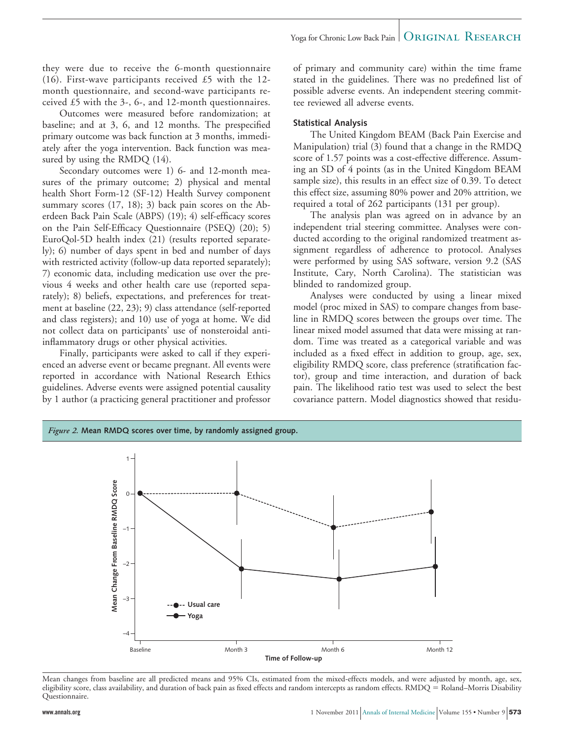they were due to receive the 6-month questionnaire (16). First-wave participants received £5 with the 12 month questionnaire, and second-wave participants received £5 with the 3-, 6-, and 12-month questionnaires.

Outcomes were measured before randomization; at baseline; and at 3, 6, and 12 months. The prespecified primary outcome was back function at 3 months, immediately after the yoga intervention. Back function was measured by using the RMDQ (14).

Secondary outcomes were 1) 6- and 12-month measures of the primary outcome; 2) physical and mental health Short Form-12 (SF-12) Health Survey component summary scores (17, 18); 3) back pain scores on the Aberdeen Back Pain Scale (ABPS) (19); 4) self-efficacy scores on the Pain Self-Efficacy Questionnaire (PSEQ) (20); 5) EuroQol-5D health index (21) (results reported separately); 6) number of days spent in bed and number of days with restricted activity (follow-up data reported separately); 7) economic data, including medication use over the previous 4 weeks and other health care use (reported separately); 8) beliefs, expectations, and preferences for treatment at baseline (22, 23); 9) class attendance (self-reported and class registers); and 10) use of yoga at home. We did not collect data on participants' use of nonsteroidal antiinflammatory drugs or other physical activities.

Finally, participants were asked to call if they experienced an adverse event or became pregnant. All events were reported in accordance with National Research Ethics guidelines. Adverse events were assigned potential causality by 1 author (a practicing general practitioner and professor of primary and community care) within the time frame stated in the guidelines. There was no predefined list of possible adverse events. An independent steering committee reviewed all adverse events.

#### **Statistical Analysis**

The United Kingdom BEAM (Back Pain Exercise and Manipulation) trial (3) found that a change in the RMDQ score of 1.57 points was a cost-effective difference. Assuming an SD of 4 points (as in the United Kingdom BEAM sample size), this results in an effect size of 0.39. To detect this effect size, assuming 80% power and 20% attrition, we required a total of 262 participants (131 per group).

The analysis plan was agreed on in advance by an independent trial steering committee. Analyses were conducted according to the original randomized treatment assignment regardless of adherence to protocol. Analyses were performed by using SAS software, version 9.2 (SAS Institute, Cary, North Carolina). The statistician was blinded to randomized group.

Analyses were conducted by using a linear mixed model (proc mixed in SAS) to compare changes from baseline in RMDQ scores between the groups over time. The linear mixed model assumed that data were missing at random. Time was treated as a categorical variable and was included as a fixed effect in addition to group, age, sex, eligibility RMDQ score, class preference (stratification factor), group and time interaction, and duration of back pain. The likelihood ratio test was used to select the best covariance pattern. Model diagnostics showed that residu-



Mean changes from baseline are all predicted means and 95% CIs, estimated from the mixed-effects models, and were adjusted by month, age, sex, eligibility score, class availability, and duration of back pain as fixed effects and random intercepts as random effects. RMDQ = Roland–Morris Disability Questionnaire.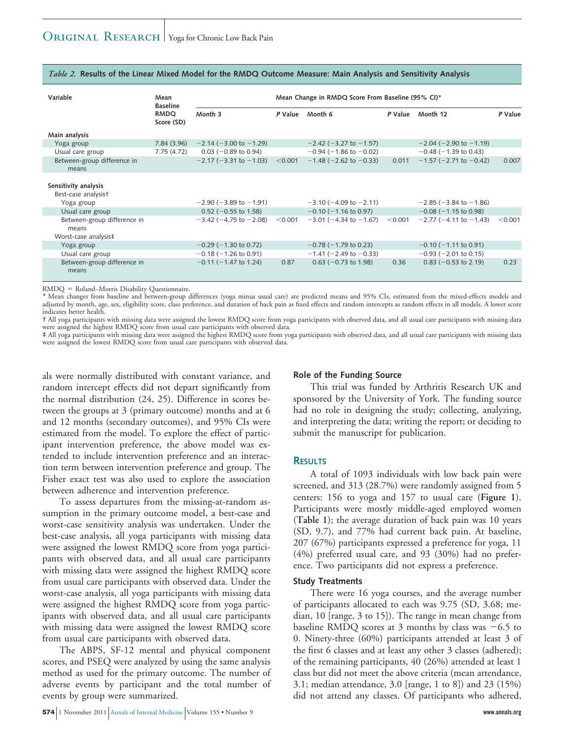| Table 2. Results of the Linear Mixed Model for the RMDQ Outcome Measure: Main Analysis and Sensitivity Analysis |  |  |
|-----------------------------------------------------------------------------------------------------------------|--|--|
|-----------------------------------------------------------------------------------------------------------------|--|--|

| Variable                                                     | Mean<br><b>Baseline</b>   | Mean Change in RMDQ Score From Baseline (95% CI)* |         |                                |         |                                |         |
|--------------------------------------------------------------|---------------------------|---------------------------------------------------|---------|--------------------------------|---------|--------------------------------|---------|
|                                                              | <b>RMDQ</b><br>Score (SD) | Month 3                                           | P Value | Month 6                        | P Value | Month 12                       | P Value |
| Main analysis                                                |                           |                                                   |         |                                |         |                                |         |
| Yoga group                                                   | 7.84(3.96)                | $-2.14$ ( $-3.00$ to $-1.29$ )                    |         | $-2.42$ ( $-3.27$ to $-1.57$ ) |         | $-2.04$ ( $-2.90$ to $-1.19$ ) |         |
| Usual care group                                             | 7.75(4.72)                | $0.03$ (-0.89 to 0.94)                            |         | $-0.94$ ( $-1.86$ to $-0.02$ ) |         | $-0.48$ ( $-1.39$ to 0.43)     |         |
| Between-group difference in<br>means                         |                           | $-2.17$ ( $-3.31$ to $-1.03$ )                    | < 0.001 | $-1.48$ ( $-2.62$ to $-0.33$ ) | 0.011   | $-1.57$ (-2.71 to $-0.42$ )    | 0.007   |
| Sensitivity analysis<br>Best-case analysist<br>Yoga group    |                           | $-2.90$ ( $-3.89$ to $-1.91$ )                    |         | $-3.10$ ( $-4.09$ to $-2.11$ ) |         | $-2.85$ ( $-3.84$ to $-1.86$ ) |         |
| Usual care group                                             |                           | $0.52$ (-0.55 to 1.58)                            |         | $-0.10$ ( $-1.16$ to 0.97)     |         | $-0.08$ ( $-1.15$ to 0.98)     |         |
| Between-group difference in<br>means<br>Worst-case analysis‡ |                           | $-3.42$ ( $-4.75$ to $-2.08$ )                    | < 0.001 | $-3.01$ ( $-4.34$ to $-1.67$ ) | < 0.001 | $-2.77$ ( $-4.11$ to $-1.43$ ) | < 0.001 |
| Yoga group                                                   |                           | $-0.29$ ( $-1.30$ to 0.72)                        |         | $-0.78$ ( $-1.79$ to 0.23)     |         | $-0.10$ ( $-1.11$ to 0.91)     |         |
| Usual care group                                             |                           | $-0.18$ ( $-1.26$ to 0.91)                        |         | $-1.41$ (-2.49 to -0.33)       |         | $-0.93$ ( $-2.01$ to 0.15)     |         |
| Between-group difference in<br>means                         |                           | $-0.11$ ( $-1.47$ to 1.24)                        | 0.87    | $0.63$ (-0.73 to 1.98)         | 0.36    | $0.83$ (-0.53 to 2.19)         | 0.23    |

RMDQ = Roland-Morris Disability Questionnaire.

Mean changes from baseline and between-group differences (yoga minus usual care) are predicted means and 95% CIs, estimated from the mixed-effects models and adjusted by month, age, sex, eligibility score, class preference, and duration of back pain as fixed effects and random intercepts as random effects in all models. A lower score indicates better health.

† All yoga participants with missing data were assigned the lowest RMDQ score from yoga participants with observed data, and all usual care participants with missing data were assigned the highest RMDQ score from usual care participants with observed data.

‡ All yoga participants with missing data were assigned the highest RMDQ score from yoga participants with observed data, and all usual care participants with missing data were assigned the lowest RMDQ score from usual care participants with observed data.

als were normally distributed with constant variance, and random intercept effects did not depart significantly from the normal distribution (24, 25). Difference in scores between the groups at 3 (primary outcome) months and at 6 and 12 months (secondary outcomes), and 95% CIs were estimated from the model. To explore the effect of participant intervention preference, the above model was extended to include intervention preference and an interaction term between intervention preference and group. The Fisher exact test was also used to explore the association between adherence and intervention preference.

To assess departures from the missing-at-random assumption in the primary outcome model, a best-case and worst-case sensitivity analysis was undertaken. Under the best-case analysis, all yoga participants with missing data were assigned the lowest RMDQ score from yoga participants with observed data, and all usual care participants with missing data were assigned the highest RMDQ score from usual care participants with observed data. Under the worst-case analysis, all yoga participants with missing data were assigned the highest RMDQ score from yoga participants with observed data, and all usual care participants with missing data were assigned the lowest RMDQ score from usual care participants with observed data.

The ABPS, SF-12 mental and physical component scores, and PSEQ were analyzed by using the same analysis method as used for the primary outcome. The number of adverse events by participant and the total number of events by group were summarized.

#### **Role of the Funding Source**

This trial was funded by Arthritis Research UK and sponsored by the University of York. The funding source had no role in designing the study; collecting, analyzing, and interpreting the data; writing the report; or deciding to submit the manuscript for publication.

#### **RESULTS**

A total of 1093 individuals with low back pain were screened, and 313 (28.7%) were randomly assigned from 5 centers: 156 to yoga and 157 to usual care (**Figure 1**). Participants were mostly middle-aged employed women (**Table 1**); the average duration of back pain was 10 years (SD, 9.7), and 77% had current back pain. At baseline, 207 (67%) participants expressed a preference for yoga, 11 (4%) preferred usual care, and 93 (30%) had no preference. Two participants did not express a preference.

#### **Study Treatments**

There were 16 yoga courses, and the average number of participants allocated to each was 9.75 (SD, 3.68; median, 10 [range, 3 to 15]). The range in mean change from baseline RMDQ scores at 3 months by class was  $-6.5$  to 0. Ninety-three (60%) participants attended at least 3 of the first 6 classes and at least any other 3 classes (adhered); of the remaining participants, 40 (26%) attended at least 1 class but did not meet the above criteria (mean attendance, 3.1; median attendance, 3.0 [range, 1 to 8]) and 23 (15%) did not attend any classes. Of participants who adhered,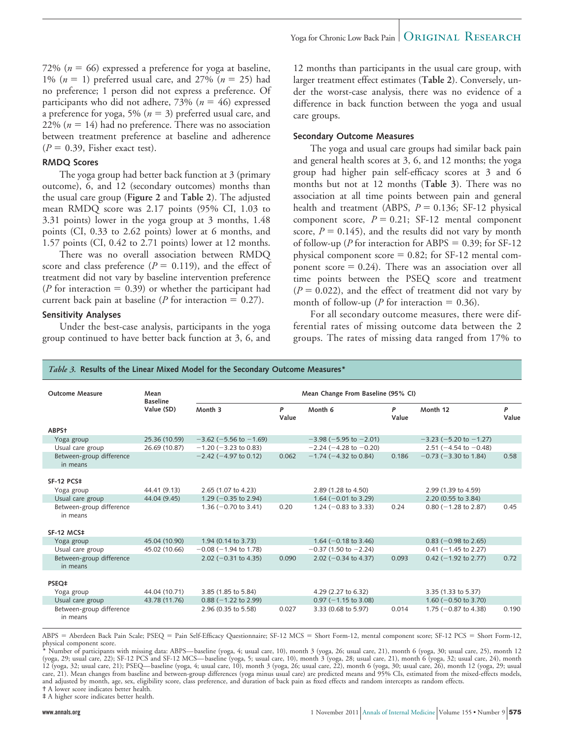72% ( $n = 66$ ) expressed a preference for yoga at baseline, 1%  $(n = 1)$  preferred usual care, and 27%  $(n = 25)$  had no preference; 1 person did not express a preference. Of participants who did not adhere,  $73\%$  ( $n = 46$ ) expressed a preference for yoga, 5% ( $n = 3$ ) preferred usual care, and 22%  $(n = 14)$  had no preference. There was no association between treatment preference at baseline and adherence  $(P = 0.39,$  Fisher exact test).

#### **RMDQ Scores**

The yoga group had better back function at 3 (primary outcome), 6, and 12 (secondary outcomes) months than the usual care group (**Figure 2** and **Table 2**). The adjusted mean RMDQ score was 2.17 points (95% CI, 1.03 to 3.31 points) lower in the yoga group at 3 months, 1.48 points (CI, 0.33 to 2.62 points) lower at 6 months, and 1.57 points (CI, 0.42 to 2.71 points) lower at 12 months.

There was no overall association between RMDQ score and class preference  $(P = 0.119)$ , and the effect of treatment did not vary by baseline intervention preference (*P* for interaction  $= 0.39$ ) or whether the participant had current back pain at baseline (*P* for interaction  $= 0.27$ ).

#### **Sensitivity Analyses**

Under the best-case analysis, participants in the yoga group continued to have better back function at 3, 6, and 12 months than participants in the usual care group, with larger treatment effect estimates (**Table 2**). Conversely, under the worst-case analysis, there was no evidence of a difference in back function between the yoga and usual care groups.

#### **Secondary Outcome Measures**

The yoga and usual care groups had similar back pain and general health scores at 3, 6, and 12 months; the yoga group had higher pain self-efficacy scores at 3 and 6 months but not at 12 months (**Table 3**). There was no association at all time points between pain and general health and treatment (ABPS,  $P = 0.136$ ; SF-12 physical component score,  $P = 0.21$ ; SF-12 mental component score,  $P = 0.145$ ), and the results did not vary by month of follow-up (*P* for interaction for ABPS  $= 0.39$ ; for SF-12 physical component score  $= 0.82$ ; for SF-12 mental component score  $= 0.24$ ). There was an association over all time points between the PSEQ score and treatment  $(P = 0.022)$ , and the effect of treatment did not vary by month of follow-up (*P* for interaction  $= 0.36$ ).

For all secondary outcome measures, there were differential rates of missing outcome data between the 2 groups. The rates of missing data ranged from 17% to

#### *Table 3.* **Results of the Linear Mixed Model for the Secondary Outcome Measures\***

| <b>Outcome Measure</b>               | Mean<br><b>Baseline</b> | Mean Change From Baseline (95% CI) |            |                                |            |                                |            |
|--------------------------------------|-------------------------|------------------------------------|------------|--------------------------------|------------|--------------------------------|------------|
|                                      | Value (SD)              | Month 3                            | P<br>Value | Month 6                        | P<br>Value | Month 12                       | P<br>Value |
| ABPS+                                |                         |                                    |            |                                |            |                                |            |
| Yoga group                           | 25.36 (10.59)           | $-3.62$ ( $-5.56$ to $-1.69$ )     |            | $-3.98$ ( $-5.95$ to $-2.01$ ) |            | $-3.23$ ( $-5.20$ to $-1.27$ ) |            |
| Usual care group                     | 26.69 (10.87)           | $-1.20$ ( $-3.23$ to 0.83)         |            | $-2.24$ ( $-4.28$ to $-0.20$ ) |            | 2.51 ( $-4.54$ to $-0.48$ )    |            |
| Between-group difference<br>in means |                         | $-2.42$ ( $-4.97$ to 0.12)         | 0.062      | $-1.74$ ( $-4.32$ to 0.84)     | 0.186      | $-0.73$ ( $-3.30$ to 1.84)     | 0.58       |
| <b>SF-12 PCS#</b>                    |                         |                                    |            |                                |            |                                |            |
| Yoga group                           | 44.41 (9.13)            | 2.65 (1.07 to 4.23)                |            | 2.89 (1.28 to 4.50)            |            | 2.99 (1.39 to 4.59)            |            |
| Usual care group                     | 44.04 (9.45)            | 1.29 ( $-0.35$ to 2.94)            |            | $1.64 (-0.01 to 3.29)$         |            | 2.20 (0.55 to 3.84)            |            |
| Between-group difference<br>in means |                         | $1.36 (-0.70 \text{ to } 3.41)$    | 0.20       | $1.24 (-0.83 to 3.33)$         | 0.24       | $0.80$ (-1.28 to 2.87)         | 0.45       |
| <b>SF-12 MCS#</b>                    |                         |                                    |            |                                |            |                                |            |
| Yoga group                           | 45.04 (10.90)           | 1.94 (0.14 to 3.73)                |            | 1.64 ( $-0.18$ to 3.46)        |            | $0.83$ (-0.98 to 2.65)         |            |
| Usual care group                     | 45.02 (10.66)           | $-0.08$ ( $-1.94$ to 1.78)         |            | $-0.37$ (1.50 to $-2.24$ )     |            | $0.41$ (-1.45 to 2.27)         |            |
| Between-group difference<br>in means |                         | $2.02$ (-0.31 to 4.35)             | 0.090      | 2.02 ( $-0.34$ to 4.37)        | 0.093      | $0.42$ (-1.92 to 2.77)         | 0.72       |
| PSEQ <sup>‡</sup>                    |                         |                                    |            |                                |            |                                |            |
| Yoga group                           | 44.04 (10.71)           | 3.85 (1.85 to 5.84)                |            | 4.29 (2.27 to 6.32)            |            | 3.35 (1.33 to 5.37)            |            |
| Usual care group                     | 43.78 (11.76)           | $0.88$ (-1.22 to 2.99)             |            | $0.97$ (-1.15 to 3.08)         |            | $1.60$ (-0.50 to 3.70)         |            |
| Between-group difference<br>in means |                         | 2.96 (0.35 to 5.58)                | 0.027      | 3.33 (0.68 to 5.97)            | 0.014      | 1.75 ( $-0.87$ to 4.38)        | 0.190      |

ABPS = Aberdeen Back Pain Scale; PSEQ = Pain Self-Efficacy Questionnaire; SF-12 MCS = Short Form-12, mental component score; SF-12 PCS = Short Form-12, physical component score.

\* Number of participants with missing data: ABPS—baseline (yoga, 4; usual care, 10), month 3 (yoga, 26; usual care, 21), month 6 (yoga, 30; usual care, 25), month 12 (yoga, 29; usual care, 22); SF-12 PCS and SF-12 MCS—baseline (yoga, 5; usual care, 10), month 3 (yoga, 28; usual care, 21), month 6 (yoga, 32; usual care, 24), month 12 (yoga, 32; usual care, 21); PSEQ—baseline (yoga, 4; usual care, 10), month 3 (yoga, 26; usual care, 22), month 6 (yoga, 30; usual care, 26), month 12 (yoga, 29; usual care, 21). Mean changes from baseline and between-group differences (yoga minus usual care) are predicted means and 95% CIs, estimated from the mixed-effects models, and adjusted by month, age, sex, eligibility score, class preference, and duration of back pain as fixed effects and random intercepts as random effects. † A lower score indicates better health.

‡ A higher score indicates better health.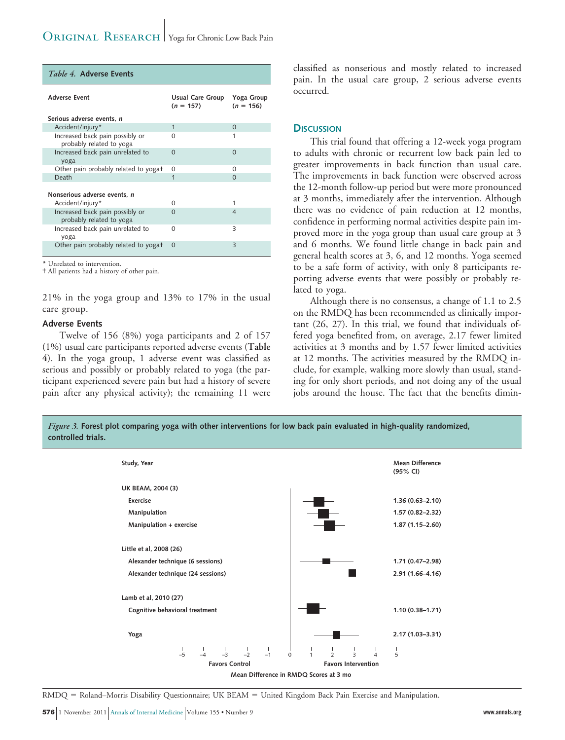| <i>Table 4.</i> Adverse Events                              |                                 |                           |
|-------------------------------------------------------------|---------------------------------|---------------------------|
| <b>Adverse Event</b>                                        | Usual Care Group<br>$(n = 157)$ | Yoga Group<br>$(n = 156)$ |
| Serious adverse events, n                                   |                                 |                           |
| Accident/injury*                                            | 1                               | $\Omega$                  |
| Increased back pain possibly or<br>probably related to yoga | $\Omega$                        | 1                         |
| Increased back pain unrelated to<br>yoga                    | $\Omega$                        | $\Omega$                  |
| Other pain probably related to yogat                        | O                               | Ω                         |
| Death                                                       | 1                               | $\Omega$                  |
| Nonserious adverse events, n<br>Accident/injury*            | 0                               |                           |
| Increased back pain possibly or<br>probably related to yoga | $\Omega$                        | 4                         |
| Increased back pain unrelated to<br>yoga                    | $\Omega$                        | 3                         |
| Other pain probably related to yogat                        | $\Omega$                        | 3                         |

\* Unrelated to intervention.

† All patients had a history of other pain.

21% in the yoga group and 13% to 17% in the usual care group.

#### **Adverse Events**

Twelve of 156 (8%) yoga participants and 2 of 157 (1%) usual care participants reported adverse events (**Table 4**). In the yoga group, 1 adverse event was classified as serious and possibly or probably related to yoga (the participant experienced severe pain but had a history of severe pain after any physical activity); the remaining 11 were classified as nonserious and mostly related to increased pain. In the usual care group, 2 serious adverse events occurred.

#### **DISCUSSION**

This trial found that offering a 12-week yoga program to adults with chronic or recurrent low back pain led to greater improvements in back function than usual care. The improvements in back function were observed across the 12-month follow-up period but were more pronounced at 3 months, immediately after the intervention. Although there was no evidence of pain reduction at 12 months, confidence in performing normal activities despite pain improved more in the yoga group than usual care group at 3 and 6 months. We found little change in back pain and general health scores at 3, 6, and 12 months. Yoga seemed to be a safe form of activity, with only 8 participants reporting adverse events that were possibly or probably related to yoga.

Although there is no consensus, a change of 1.1 to 2.5 on the RMDQ has been recommended as clinically important (26, 27). In this trial, we found that individuals offered yoga benefited from, on average, 2.17 fewer limited activities at 3 months and by 1.57 fewer limited activities at 12 months. The activities measured by the RMDQ include, for example, walking more slowly than usual, standing for only short periods, and not doing any of the usual jobs around the house. The fact that the benefits dimin-

*Figure 3.* **Forest plot comparing yoga with other interventions for low back pain evaluated in high-quality randomized, controlled trials.**



RMDQ = Roland–Morris Disability Questionnaire; UK BEAM = United Kingdom Back Pain Exercise and Manipulation.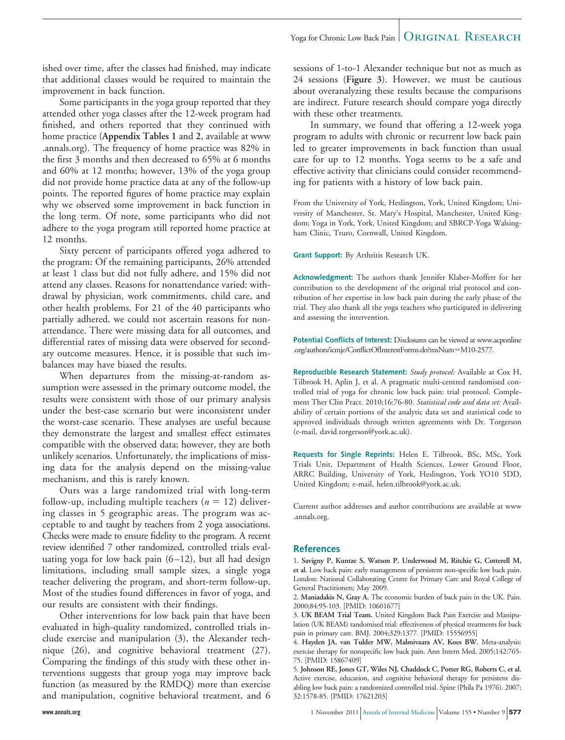ished over time, after the classes had finished, may indicate that additional classes would be required to maintain the improvement in back function.

Some participants in the yoga group reported that they attended other yoga classes after the 12-week program had finished, and others reported that they continued with home practice (**Appendix Tables 1** and **2**, available at www .annals.org). The frequency of home practice was 82% in the first 3 months and then decreased to 65% at 6 months and 60% at 12 months; however, 13% of the yoga group did not provide home practice data at any of the follow-up points. The reported figures of home practice may explain why we observed some improvement in back function in the long term. Of note, some participants who did not adhere to the yoga program still reported home practice at 12 months.

Sixty percent of participants offered yoga adhered to the program: Of the remaining participants, 26% attended at least 1 class but did not fully adhere, and 15% did not attend any classes. Reasons for nonattendance varied: withdrawal by physician, work commitments, child care, and other health problems. For 21 of the 40 participants who partially adhered, we could not ascertain reasons for nonattendance. There were missing data for all outcomes, and differential rates of missing data were observed for secondary outcome measures. Hence, it is possible that such imbalances may have biased the results.

When departures from the missing-at-random assumption were assessed in the primary outcome model, the results were consistent with those of our primary analysis under the best-case scenario but were inconsistent under the worst-case scenario. These analyses are useful because they demonstrate the largest and smallest effect estimates compatible with the observed data; however, they are both unlikely scenarios. Unfortunately, the implications of missing data for the analysis depend on the missing-value mechanism, and this is rarely known.

Ours was a large randomized trial with long-term follow-up, including multiple teachers  $(n = 12)$  delivering classes in 5 geographic areas. The program was acceptable to and taught by teachers from 2 yoga associations. Checks were made to ensure fidelity to the program. A recent review identified 7 other randomized, controlled trials evaluating yoga for low back pain  $(6-12)$ , but all had design limitations, including small sample sizes, a single yoga teacher delivering the program, and short-term follow-up. Most of the studies found differences in favor of yoga, and our results are consistent with their findings.

Other interventions for low back pain that have been evaluated in high-quality randomized, controlled trials include exercise and manipulation (3), the Alexander technique (26), and cognitive behavioral treatment (27). Comparing the findings of this study with these other interventions suggests that group yoga may improve back function (as measured by the RMDQ) more than exercise and manipulation, cognitive behavioral treatment, and 6

sessions of 1-to-1 Alexander technique but not as much as 24 sessions (**Figure 3**). However, we must be cautious about overanalyzing these results because the comparisons are indirect. Future research should compare yoga directly with these other treatments.

In summary, we found that offering a 12-week yoga program to adults with chronic or recurrent low back pain led to greater improvements in back function than usual care for up to 12 months. Yoga seems to be a safe and effective activity that clinicians could consider recommending for patients with a history of low back pain.

From the University of York, Heslington, York, United Kingdom; University of Manchester, St. Mary's Hospital, Manchester, United Kingdom; Yoga in York, York, United Kingdom; and SBRCP-Yoga Walsingham Clinic, Truro, Cornwall, United Kingdom.

**Grant Support:** By Arthritis Research UK.

**Acknowledgment:** The authors thank Jennifer Klaber-Moffett for her contribution to the development of the original trial protocol and contribution of her expertise in low back pain during the early phase of the trial. They also thank all the yoga teachers who participated in delivering and assessing the intervention.

**Potential Conflicts of Interest:** Disclosures can be viewed at www.acponline .org/authors/icmje/ConflictOfInterestForms.do?msNum=M10-2577.

**Reproducible Research Statement:** *Study protocol:* Available at Cox H, Tilbrook H, Aplin J, et al. A pragmatic multi-centred randomised controlled trial of yoga for chronic low back pain: trial protocol. Complement Ther Clin Pract. 2010;16:76-80. *Statistical code and data set:* Availability of certain portions of the analytic data set and statistical code to approved individuals through written agreements with Dr. Torgerson (e-mail, david.torgerson@york.ac.uk).

**Requests for Single Reprints:** Helen E. Tilbrook, BSc, MSc, York Trials Unit, Department of Health Sciences, Lower Ground Floor, ARRC Building, University of York, Heslington, York YO10 5DD, United Kingdom; e-mail, helen.tilbrook@york.ac.uk.

Current author addresses and author contributions are available at www .annals.org.

#### **References**

1. **Savigny P, Kuntze S, Watson P, Underwood M, Ritchie G, Cotterell M, et al.** Low back pain: early management of persistent non-specific low back pain. London: National Collaborating Centre for Primary Care and Royal College of General Practitioners; May 2009.

2. **Maniadakis N, Gray A.** The economic burden of back pain in the UK. Pain. 2000;84:95-103. [PMID: 10601677]

3. **UK BEAM Trial Team.** United Kingdom Back Pain Exercise and Manipulation (UK BEAM) randomised trial: effectiveness of physical treatments for back pain in primary care. BMJ. 2004;329:1377. [PMID: 15556955]

4. **Hayden JA, van Tulder MW, Malmivaara AV, Koes BW.** Meta-analysis: exercise therapy for nonspecific low back pain. Ann Intern Med. 2005;142:765- 75. [PMID: 15867409]

5. **Johnson RE, Jones GT, Wiles NJ, Chaddock C, Potter RG, Roberts C, et al.** Active exercise, education, and cognitive behavioral therapy for persistent disabling low back pain: a randomized controlled trial. Spine (Phila Pa 1976). 2007; 32:1578-85. [PMID: 17621203]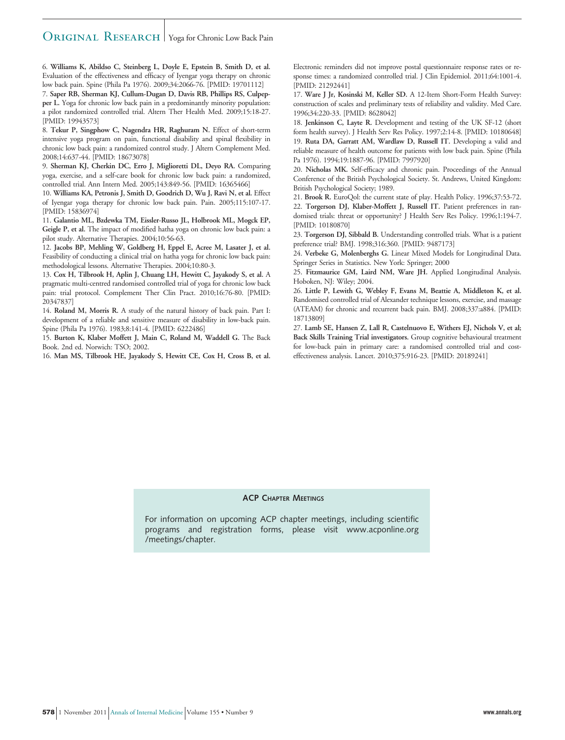#### ORIGINAL RESEARCH | Yoga for Chronic Low Back Pain

6. **Williams K, Abildso C, Steinberg L, Doyle E, Epstein B, Smith D, et al.** Evaluation of the effectiveness and efficacy of Iyengar yoga therapy on chronic low back pain. Spine (Phila Pa 1976). 2009;34:2066-76. [PMID: 19701112]

7. **Saper RB, Sherman KJ, Cullum-Dugan D, Davis RB, Phillips RS, Culpepper L.** Yoga for chronic low back pain in a predominantly minority population: a pilot randomized controlled trial. Altern Ther Health Med. 2009;15:18-27. [PMID: 19943573]

8. **Tekur P, Singphow C, Nagendra HR, Raghuram N.** Effect of short-term intensive yoga program on pain, functional disability and spinal flexibility in chronic low back pain: a randomized control study. J Altern Complement Med. 2008;14:637-44. [PMID: 18673078]

9. **Sherman KJ, Cherkin DC, Erro J, Miglioretti DL, Deyo RA.** Comparing yoga, exercise, and a self-care book for chronic low back pain: a randomized, controlled trial. Ann Intern Med. 2005;143:849-56. [PMID: 16365466]

10. **Williams KA, Petronis J, Smith D, Goodrich D, Wu J, Ravi N, et al.** Effect of Iyengar yoga therapy for chronic low back pain. Pain. 2005;115:107-17. [PMID: 15836974]

11. **Galantio ML, Bzdewka TM, Eissler-Russo JL, Holbrook ML, Mogck EP, Geigle P, et al.** The impact of modified hatha yoga on chronic low back pain: a pilot study. Alternative Therapies. 2004;10:56-63.

12. **Jacobs BP, Mehling W, Goldberg H, Eppel E, Acree M, Lasater J, et al.** Feasibility of conducting a clinical trial on hatha yoga for chronic low back pain: methodological lessons. Alternative Therapies. 2004;10:80-3.

13. **Cox H, Tilbrook H, Aplin J, Chuang LH, Hewitt C, Jayakody S, et al.** A pragmatic multi-centred randomised controlled trial of yoga for chronic low back pain: trial protocol. Complement Ther Clin Pract. 2010;16:76-80. [PMID: 20347837]

14. **Roland M, Morris R.** A study of the natural history of back pain. Part I: development of a reliable and sensitive measure of disability in low-back pain. Spine (Phila Pa 1976). 1983;8:141-4. [PMID: 6222486]

15. **Burton K, Klaber Moffett J, Main C, Roland M, Waddell G.** The Back Book. 2nd ed. Norwich: TSO; 2002.

16. **Man MS, Tilbrook HE, Jayakody S, Hewitt CE, Cox H, Cross B, et al.**

Electronic reminders did not improve postal questionnaire response rates or response times: a randomized controlled trial. J Clin Epidemiol. 2011;64:1001-4. [PMID: 21292441]

17. **Ware J Jr, Kosinski M, Keller SD.** A 12-Item Short-Form Health Survey: construction of scales and preliminary tests of reliability and validity. Med Care. 1996;34:220-33. [PMID: 8628042]

18. **Jenkinson C, Layte R.** Development and testing of the UK SF-12 (short form health survey). J Health Serv Res Policy. 1997;2:14-8. [PMID: 10180648] 19. **Ruta DA, Garratt AM, Wardlaw D, Russell IT.** Developing a valid and reliable measure of health outcome for patients with low back pain. Spine (Phila Pa 1976). 1994;19:1887-96. [PMID: 7997920]

20. **Nicholas MK.** Self-efficacy and chronic pain. Proceedings of the Annual Conference of the British Psychological Society. St. Andrews, United Kingdom: British Psychological Society; 1989.

21. **Brook R.** EuroQol: the current state of play. Health Policy. 1996;37:53-72. 22. **Torgerson DJ, Klaber-Moffett J, Russell IT.** Patient preferences in randomised trials: threat or opportunity? J Health Serv Res Policy. 1996;1:194-7. [PMID: 10180870]

23. **Torgerson DJ, Sibbald B.** Understanding controlled trials. What is a patient preference trial? BMJ. 1998;316:360. [PMID: 9487173]

24. **Verbeke G, Molenberghs G.** Linear Mixed Models for Longitudinal Data. Springer Series in Statistics. New York: Springer; 2000

25. **Fitzmaurice GM, Laird NM, Ware JH.** Applied Longitudinal Analysis. Hoboken, NJ: Wiley; 2004.

26. **Little P, Lewith G, Webley F, Evans M, Beattie A, Middleton K, et al.** Randomised controlled trial of Alexander technique lessons, exercise, and massage (ATEAM) for chronic and recurrent back pain. BMJ. 2008;337:a884. [PMID: 18713809]

27. **Lamb SE, Hansen Z, Lall R, Castelnuovo E, Withers EJ, Nichols V, et al; Back Skills Training Trial investigators.** Group cognitive behavioural treatment for low-back pain in primary care: a randomised controlled trial and costeffectiveness analysis. Lancet. 2010;375:916-23. [PMID: 20189241]

#### **ACP CHAPTER MEETINGS**

For information on upcoming ACP chapter meetings, including scientific programs and registration forms, please visit www.acponline.org /meetings/chapter.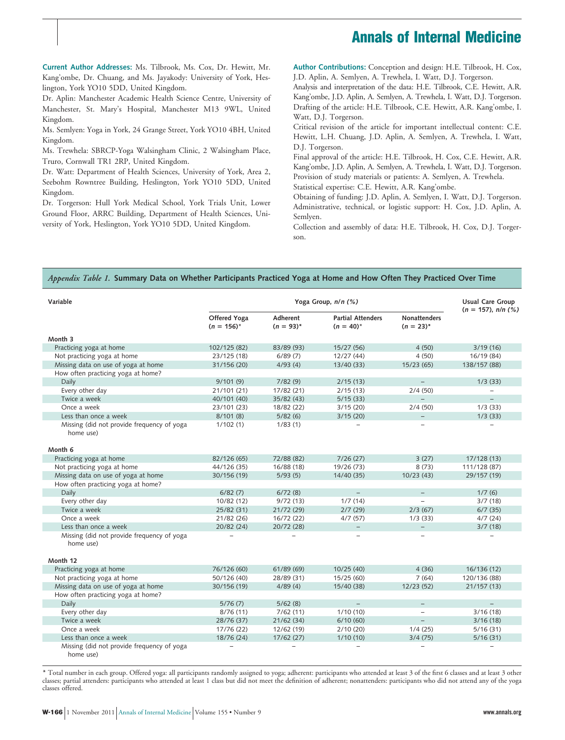### **Annals of Internal Medicine**

**Current Author Addresses:** Ms. Tilbrook, Ms. Cox, Dr. Hewitt, Mr. Kang'ombe, Dr. Chuang, and Ms. Jayakody: University of York, Heslington, York YO10 5DD, United Kingdom.

Dr. Aplin: Manchester Academic Health Science Centre, University of Manchester, St. Mary's Hospital, Manchester M13 9WL, United Kingdom.

Ms. Semlyen: Yoga in York, 24 Grange Street, York YO10 4BH, United Kingdom.

Ms. Trewhela: SBRCP-Yoga Walsingham Clinic, 2 Walsingham Place, Truro, Cornwall TR1 2RP, United Kingdom.

Dr. Watt: Department of Health Sciences, University of York, Area 2, Seebohm Rowntree Building, Heslington, York YO10 5DD, United Kingdom.

Dr. Torgerson: Hull York Medical School, York Trials Unit, Lower Ground Floor, ARRC Building, Department of Health Sciences, University of York, Heslington, York YO10 5DD, United Kingdom.

**Author Contributions:** Conception and design: H.E. Tilbrook, H. Cox, J.D. Aplin, A. Semlyen, A. Trewhela, I. Watt, D.J. Torgerson.

Analysis and interpretation of the data: H.E. Tilbrook, C.E. Hewitt, A.R. Kang'ombe, J.D. Aplin, A. Semlyen, A. Trewhela, I. Watt, D.J. Torgerson. Drafting of the article: H.E. Tilbrook, C.E. Hewitt, A.R. Kang'ombe, I. Watt, D.J. Torgerson.

Critical revision of the article for important intellectual content: C.E. Hewitt, L.H. Chuang, J.D. Aplin, A. Semlyen, A. Trewhela, I. Watt, D.J. Torgerson.

Final approval of the article: H.E. Tilbrook, H. Cox, C.E. Hewitt, A.R. Kang'ombe, J.D. Aplin, A. Semlyen, A. Trewhela, I. Watt, D.J. Torgerson. Provision of study materials or patients: A. Semlyen, A. Trewhela. Statistical expertise: C.E. Hewitt, A.R. Kang'ombe.

Obtaining of funding: J.D. Aplin, A. Semlyen, I. Watt, D.J. Torgerson. Administrative, technical, or logistic support: H. Cox, J.D. Aplin, A. Semlyen.

Collection and assembly of data: H.E. Tilbrook, H. Cox, D.J. Torgerson.

#### *Appendix Table 1.* **Summary Data on Whether Participants Practiced Yoga at Home and How Often They Practiced Over Time**

| Variable                                                | Yoga Group, n/n (%)             |                            |                                            |                                       | Usual Care Group<br>$(n = 157)$ , n/n $(\%)$ |  |
|---------------------------------------------------------|---------------------------------|----------------------------|--------------------------------------------|---------------------------------------|----------------------------------------------|--|
|                                                         | Offered Yoga<br>$(n = 156)^{*}$ | Adherent<br>$(n = 93)^{*}$ | <b>Partial Attenders</b><br>$(n = 40)^{*}$ | <b>Nonattenders</b><br>$(n = 23)^{*}$ |                                              |  |
| Month 3                                                 |                                 |                            |                                            |                                       |                                              |  |
| Practicing yoga at home                                 | 102/125 (82)                    | 83/89 (93)                 | 15/27 (56)                                 | 4(50)                                 | 3/19(16)                                     |  |
| Not practicing yoga at home                             | 23/125 (18)                     | 6/89(7)                    | 12/27(44)                                  | 4(50)                                 | 16/19 (84)                                   |  |
| Missing data on use of yoga at home                     | 31/156 (20)                     | 4/93(4)                    | 13/40 (33)                                 | 15/23(65)                             | 138/157 (88)                                 |  |
| How often practicing yoga at home?                      |                                 |                            |                                            |                                       |                                              |  |
| Daily                                                   | 9/101(9)                        | 7/82(9)                    | 2/15(13)                                   |                                       | 1/3(33)                                      |  |
| Every other day                                         | 21/101 (21)                     | 17/82 (21)                 | 2/15(13)                                   | 2/4(50)                               |                                              |  |
| Twice a week                                            | 40/101 (40)                     | 35/82 (43)                 | 5/15(33)                                   |                                       |                                              |  |
| Once a week                                             | 23/101 (23)                     | 18/82 (22)                 | 3/15(20)                                   | 2/4(50)                               | 1/3(33)                                      |  |
| Less than once a week                                   | 8/101(8)                        | 5/82(6)                    | 3/15(20)                                   |                                       | 1/3(33)                                      |  |
| Missing (did not provide frequency of yoga<br>home use) | 1/102(1)                        | 1/83(1)                    | $\overline{\phantom{0}}$                   | L.                                    |                                              |  |
| Month 6                                                 |                                 |                            |                                            |                                       |                                              |  |
| Practicing yoga at home                                 | 82/126 (65)                     | 72/88 (82)                 | 7/26(27)                                   | 3(27)                                 | 17/128 (13)                                  |  |
| Not practicing yoga at home                             | 44/126 (35)                     | 16/88 (18)                 | 19/26 (73)                                 | 8(73)                                 | 111/128 (87)                                 |  |
| Missing data on use of yoga at home                     | 30/156 (19)                     | 5/93(5)                    | 14/40 (35)                                 | 10/23(43)                             | 29/157 (19)                                  |  |
| How often practicing yoga at home?                      |                                 |                            |                                            |                                       |                                              |  |
| Daily                                                   | 6/82(7)                         | 6/72(8)                    | $\equiv$                                   | $\equiv$                              | 1/7(6)                                       |  |
| Every other day                                         | 10/82 (12)                      | 9/72(13)                   | 1/7(14)                                    | $\equiv$                              | 3/7(18)                                      |  |
| Twice a week                                            | 25/82 (31)                      | 21/72 (29)                 | 2/7(29)                                    | 2/3(67)                               | 6/7(35)                                      |  |
| Once a week                                             | 21/82 (26)                      | 16/72 (22)                 | 4/7(57)                                    | 1/3(33)                               | 4/7(24)                                      |  |
| Less than once a week                                   | 20/82 (24)                      | 20/72 (28)                 | $\equiv$                                   | $\equiv$                              | 3/7(18)                                      |  |
| Missing (did not provide frequency of yoga<br>home use) |                                 |                            | ÷                                          | ۳                                     |                                              |  |
| Month 12                                                |                                 |                            |                                            |                                       |                                              |  |
| Practicing yoga at home                                 | 76/126 (60)                     | 61/89(69)                  | 10/25(40)                                  | 4(36)                                 | 16/136 (12)                                  |  |
| Not practicing yoga at home                             | 50/126 (40)                     | 28/89 (31)                 | 15/25(60)                                  | 7(64)                                 | 120/136 (88)                                 |  |
| Missing data on use of yoga at home                     | 30/156 (19)                     | 4/89(4)                    | 15/40 (38)                                 | 12/23(52)                             | 21/157 (13)                                  |  |
| How often practicing yoga at home?                      |                                 |                            |                                            |                                       |                                              |  |
| Daily                                                   | 5/76(7)                         | 5/62(8)                    | $\equiv$                                   | $\equiv$                              |                                              |  |
| Every other day                                         | 8/76(11)                        | 7/62(11)                   | 1/10(10)                                   | $\equiv$                              | 3/16(18)                                     |  |
| Twice a week                                            | 28/76 (37)                      | 21/62(34)                  | 6/10(60)                                   |                                       | 3/16(18)                                     |  |
| Once a week                                             | 17/76 (22)                      | 12/62 (19)                 | 2/10(20)                                   | 1/4(25)                               | 5/16(31)                                     |  |
| Less than once a week                                   | 18/76 (24)                      | 17/62(27)                  | 1/10(10)                                   | 3/4(75)                               | 5/16(31)                                     |  |
| Missing (did not provide frequency of yoga<br>home use) |                                 |                            |                                            |                                       |                                              |  |

\* Total number in each group. Offered yoga: all participants randomly assigned to yoga; adherent: participants who attended at least 3 of the first 6 classes and at least 3 other classes; partial attenders: participants who attended at least 1 class but did not meet the definition of adherent; nonattenders: participants who did not attend any of the yoga classes offered.